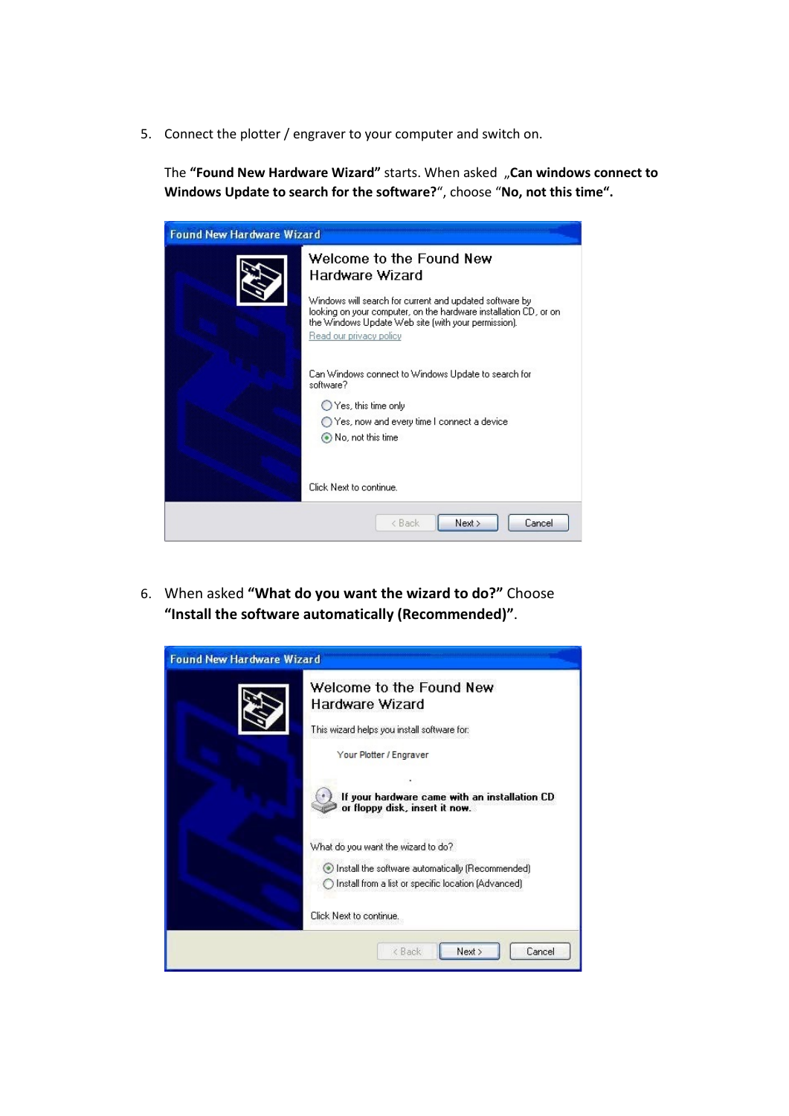

5. Connect the plotter / engraver to your computer and switch on.

The **"Found New Hardware Wizard"** starts. When asked "**Can windows connect to Windows Update to search for the software?**", choose "**No, not this time".**

| <b>Found New Hardware Wizard</b> |                                                                                                                                                                                                               |
|----------------------------------|---------------------------------------------------------------------------------------------------------------------------------------------------------------------------------------------------------------|
|                                  | Welcome to the Found New<br>Hardware Wizard                                                                                                                                                                   |
|                                  | Windows will search for current and updated software by<br>looking on your computer, on the hardware installation CD, or on<br>the Windows Update Web site (with your permission).<br>Read our privacy policy |
|                                  | Can Windows connect to Windows Update to search for<br>software?                                                                                                                                              |
|                                  | $\bigcirc$ Yes, this time only                                                                                                                                                                                |
|                                  | ◯ Yes, now and every time I connect a device                                                                                                                                                                  |
|                                  | (a) No, not this time                                                                                                                                                                                         |
|                                  | Click Next to continue.                                                                                                                                                                                       |
|                                  | Next<br>Cancel<br>< Back                                                                                                                                                                                      |

6. When asked **"What do you want the wizard to do?"** Choose **"Install the software automatically (Recommended)"**.

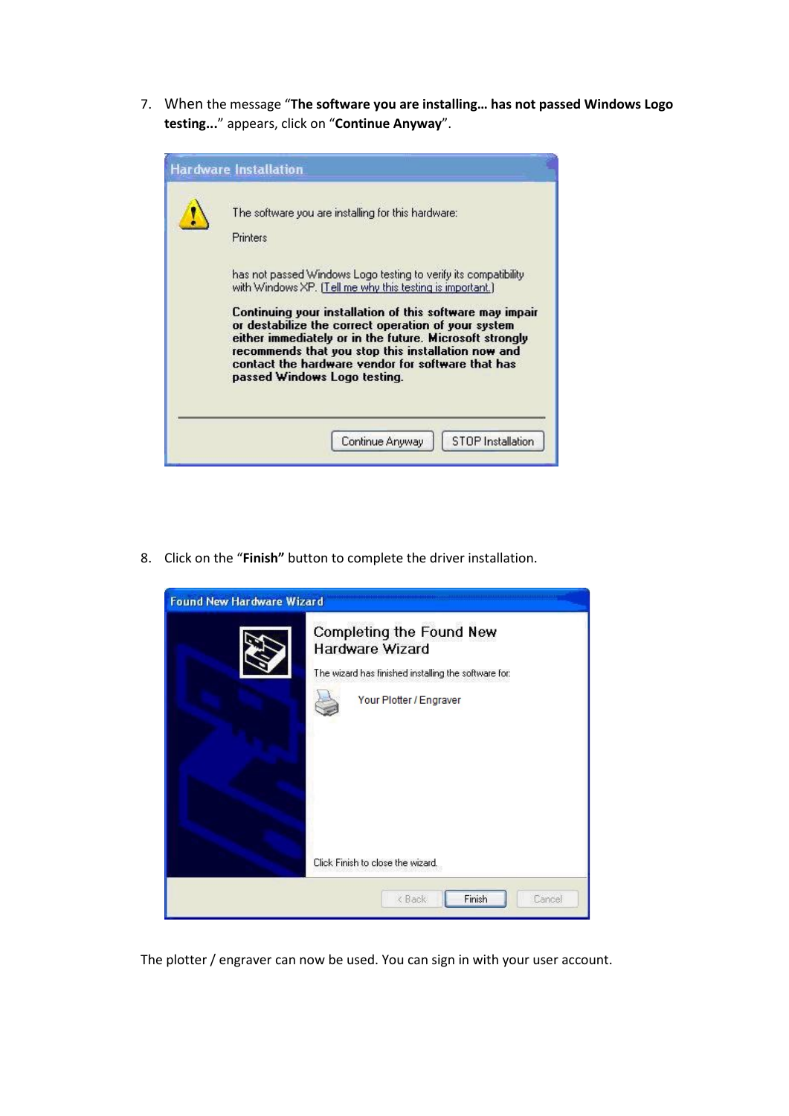## **Z** CONTACLIP

7. When the message "**The software you are installing… has not passed Windows Logo testing...**" appears, click on "**Continue Anyway**".

| <b>Hardware Installation</b>                                                                                                                                                                                                                                                                                          |
|-----------------------------------------------------------------------------------------------------------------------------------------------------------------------------------------------------------------------------------------------------------------------------------------------------------------------|
| The software you are installing for this hardware:<br>Printers                                                                                                                                                                                                                                                        |
| has not passed Windows Logo testing to verify its compatibility<br>with Windows XP. [Tell me why this testing is important.]                                                                                                                                                                                          |
| Continuing your installation of this software may impair<br>or destabilize the correct operation of your system<br>either immediately or in the future. Microsoft strongly<br>recommends that you stop this installation now and<br>contact the hardware vendor for software that has<br>passed Windows Logo testing. |
| <b>STOP</b> Installation<br>Continue Anyway                                                                                                                                                                                                                                                                           |

8. Click on the "**Finish"** button to complete the driver installation.



The plotter / engraver can now be used. You can sign in with your user account.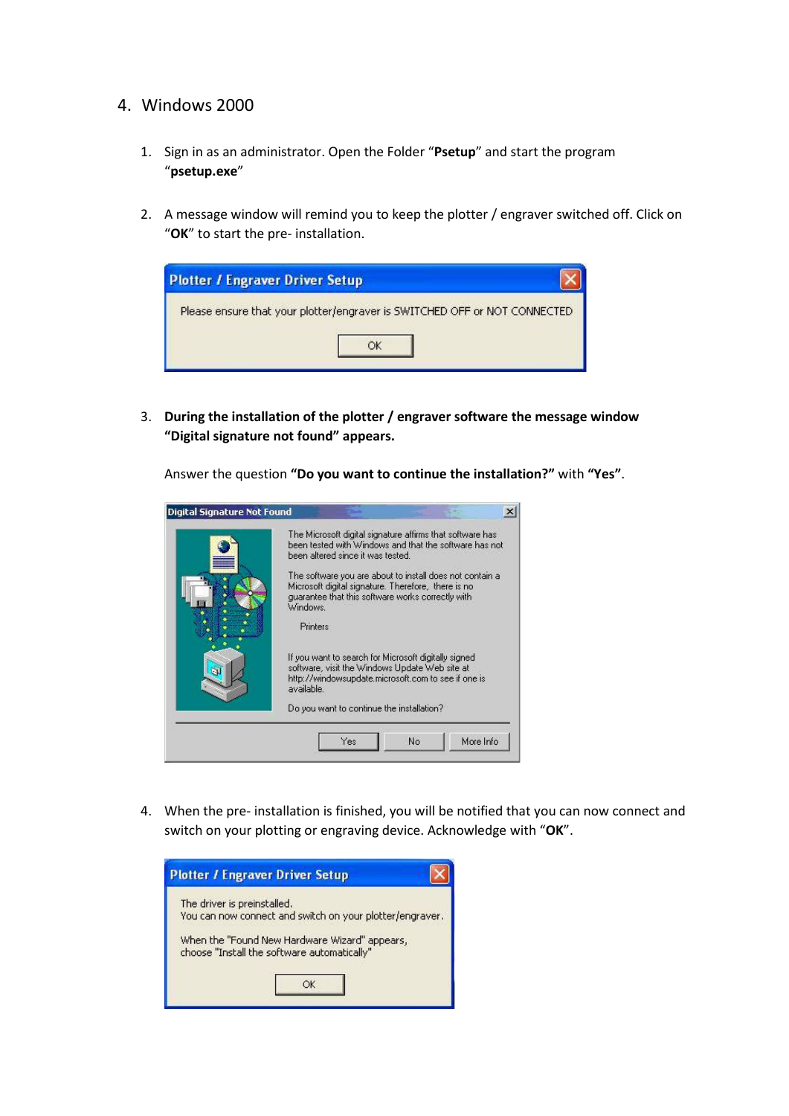

- 4. Windows 2000
	- 1. Sign in as an administrator. Open the Folder "**Psetup**" and start the program "**psetup.exe**"
	- 2. A message window will remind you to keep the plotter / engraver switched off. Click on "**OK**" to start the pre- installation.



3. **During the installation of the plotter / engraver software the message window "Digital signature not found" appears.**

Answer the question **"Do you want to continue the installation?"** with **"Yes"**.

| The Microsoft digital signature affirms that software has<br>been tested with Windows and that the software has not<br>been altered since it was tested.                         |  |
|----------------------------------------------------------------------------------------------------------------------------------------------------------------------------------|--|
| The software you are about to install does not contain a<br>Microsoft digital signature. Therefore, there is no<br>quarantee that this software works correctly with<br>Windows. |  |
| <b>Printers</b>                                                                                                                                                                  |  |
| If you want to search for Microsoft digitally signed<br>software, visit the Windows Update Web site at<br>http://windowsupdate.microsoft.com to see if one is<br>available.      |  |
| Do you want to continue the installation?                                                                                                                                        |  |

4. When the pre- installation is finished, you will be notified that you can now connect and switch on your plotting or engraving device. Acknowledge with "**OK**".

| The driver is preinstalled. |                                                                                              |  |
|-----------------------------|----------------------------------------------------------------------------------------------|--|
|                             | You can now connect and switch on your plotter/engraver.                                     |  |
|                             | When the "Found New Hardware Wizard" appears,<br>choose "Install the software automatically" |  |
|                             |                                                                                              |  |